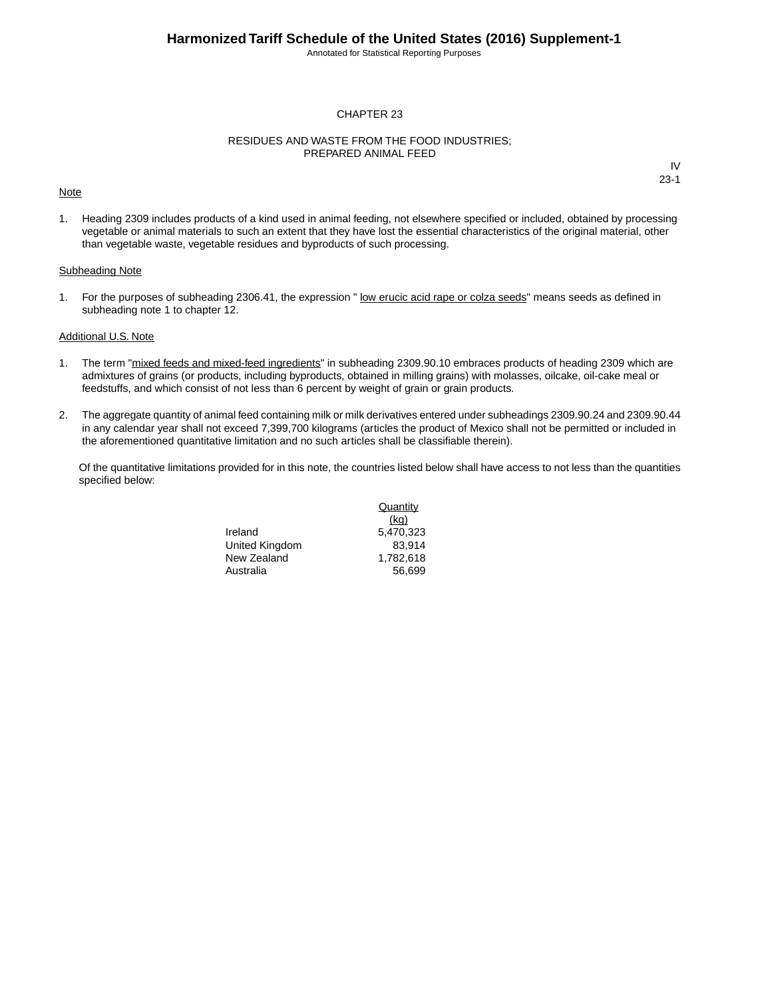Annotated for Statistical Reporting Purposes

#### CHAPTER 23

#### RESIDUES AND WASTE FROM THE FOOD INDUSTRIES; PREPARED ANIMAL FEED

#### **Note**

IV 23-1

1. Heading 2309 includes products of a kind used in animal feeding, not elsewhere specified or included, obtained by processing vegetable or animal materials to such an extent that they have lost the essential characteristics of the original material, other than vegetable waste, vegetable residues and byproducts of such processing.

#### Subheading Note

1. For the purposes of subheading 2306.41, the expression " low erucic acid rape or colza seeds" means seeds as defined in subheading note 1 to chapter 12.

#### Additional U.S. Note

- 1. The term "mixed feeds and mixed-feed ingredients" in subheading 2309.90.10 embraces products of heading 2309 which are admixtures of grains (or products, including byproducts, obtained in milling grains) with molasses, oilcake, oil-cake meal or feedstuffs, and which consist of not less than 6 percent by weight of grain or grain products.
- 2. The aggregate quantity of animal feed containing milk or milk derivatives entered under subheadings 2309.90.24 and 2309.90.44 in any calendar year shall not exceed 7,399,700 kilograms (articles the product of Mexico shall not be permitted or included in the aforementioned quantitative limitation and no such articles shall be classifiable therein).

Of the quantitative limitations provided for in this note, the countries listed below shall have access to not less than the quantities specified below:

> Ireland 5,470,323 United Kingdom 83,914 New Zealand 1,782,618 Australia 56,699

**Quantity** (kg)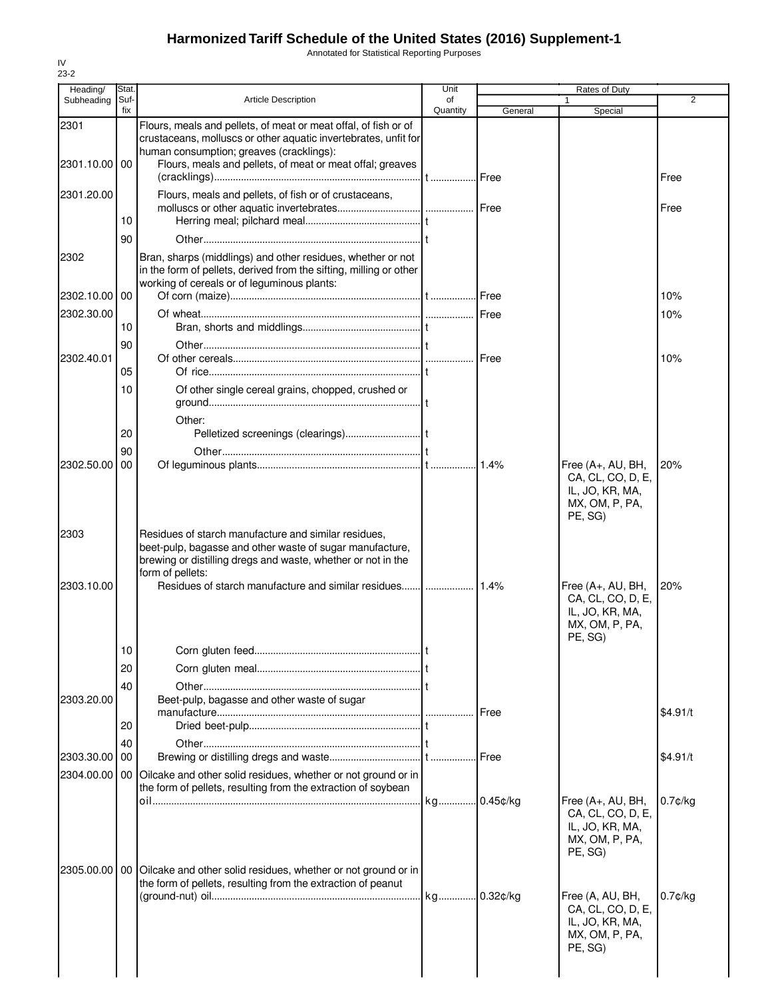Annotated for Statistical Reporting Purposes

| Heading/      | Stat.       |                                                                                                                                                                                                      | Unit           |         | Rates of Duty                                                                          |            |
|---------------|-------------|------------------------------------------------------------------------------------------------------------------------------------------------------------------------------------------------------|----------------|---------|----------------------------------------------------------------------------------------|------------|
| Subheading    | Suf-<br>fix | <b>Article Description</b>                                                                                                                                                                           | of<br>Quantity | General | $\mathbf{1}$<br>Special                                                                | 2          |
| 2301          |             | Flours, meals and pellets, of meat or meat offal, of fish or of<br>crustaceans, molluscs or other aquatic invertebrates, unfit for<br>human consumption; greaves (cracklings):                       |                |         |                                                                                        |            |
| 2301.10.00 00 |             | Flours, meals and pellets, of meat or meat offal; greaves                                                                                                                                            |                |         |                                                                                        | Free       |
| 2301.20.00    |             | Flours, meals and pellets, of fish or of crustaceans,                                                                                                                                                |                |         |                                                                                        | Free       |
|               | 10          |                                                                                                                                                                                                      |                |         |                                                                                        |            |
|               | 90          |                                                                                                                                                                                                      |                |         |                                                                                        |            |
| 2302          |             | Bran, sharps (middlings) and other residues, whether or not<br>in the form of pellets, derived from the sifting, milling or other<br>working of cereals or of leguminous plants:                     |                |         |                                                                                        |            |
| 2302.10.00    | 00          |                                                                                                                                                                                                      |                |         |                                                                                        | 10%        |
| 2302.30.00    | 10          |                                                                                                                                                                                                      |                |         |                                                                                        | 10%        |
|               | 90          |                                                                                                                                                                                                      |                |         |                                                                                        |            |
| 2302.40.01    |             |                                                                                                                                                                                                      |                |         |                                                                                        | 10%        |
|               | 05          |                                                                                                                                                                                                      |                |         |                                                                                        |            |
|               | 10          | Of other single cereal grains, chopped, crushed or                                                                                                                                                   |                |         |                                                                                        |            |
|               | 20          | Other:                                                                                                                                                                                               |                |         |                                                                                        |            |
| 2302.50.00    | 90<br>00    |                                                                                                                                                                                                      |                |         | Free (A+, AU, BH,                                                                      | 20%        |
|               |             |                                                                                                                                                                                                      |                |         | CA, CL, CO, D, E,<br>IL, JO, KR, MA,<br>MX, OM, P, PA,<br>PE, SG)                      |            |
| 2303          |             | Residues of starch manufacture and similar residues,<br>beet-pulp, bagasse and other waste of sugar manufacture,<br>brewing or distilling dregs and waste, whether or not in the<br>form of pellets: |                |         |                                                                                        |            |
| 2303.10.00    |             | Residues of starch manufacture and similar residues [] 1.4%                                                                                                                                          |                |         | Free (A+, AU, BH,<br>CA, CL, CO, D, E,<br>IL, JO, KR, MA,<br>MX, OM, P, PA,<br>PE, SG) | 20%        |
|               | 10          |                                                                                                                                                                                                      |                |         |                                                                                        |            |
|               | 20          |                                                                                                                                                                                                      |                |         |                                                                                        |            |
| 2303.20.00    | 40          | Beet-pulp, bagasse and other waste of sugar                                                                                                                                                          |                |         |                                                                                        |            |
|               |             |                                                                                                                                                                                                      |                |         |                                                                                        | \$4.91/t   |
|               | 20          |                                                                                                                                                                                                      |                |         |                                                                                        |            |
| 2303.30.00    | 40<br>00    |                                                                                                                                                                                                      |                |         |                                                                                        | \$4.91/t   |
|               |             | 2304.00.00   00   Oilcake and other solid residues, whether or not ground or in<br>the form of pellets, resulting from the extraction of soybean                                                     |                |         |                                                                                        |            |
|               |             |                                                                                                                                                                                                      |                |         | Free (A+, AU, BH,<br>CA, CL, CO, D, E,<br>IL, JO, KR, MA,<br>MX, OM, P, PA,<br>PE, SG) | $0.7$ ¢/kg |
|               |             | 2305.00.00   00   Oilcake and other solid residues, whether or not ground or in<br>the form of pellets, resulting from the extraction of peanut                                                      |                |         | Free (A, AU, BH,<br>CA, CL, CO, D, E,<br>IL, JO, KR, MA,<br>MX, OM, P, PA,<br>PE, SG)  | $0.7$ ¢/kg |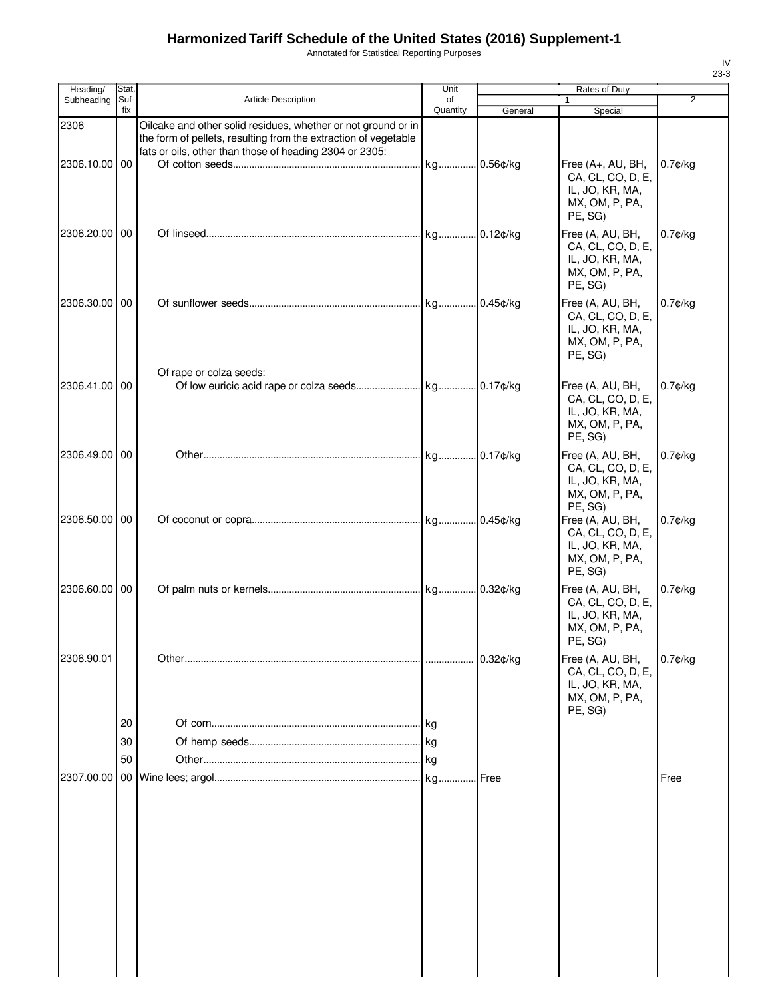Annotated for Statistical Reporting Purposes

| Heading/      | Stat.       |                                                                                                                                                                                             | Unit           |             | Rates of Duty                                                                          |            |
|---------------|-------------|---------------------------------------------------------------------------------------------------------------------------------------------------------------------------------------------|----------------|-------------|----------------------------------------------------------------------------------------|------------|
| Subheading    | Suf-<br>fix | Article Description                                                                                                                                                                         | of<br>Quantity | General     | Special                                                                                | 2          |
| 2306          |             | Oilcake and other solid residues, whether or not ground or in<br>the form of pellets, resulting from the extraction of vegetable<br>fats or oils, other than those of heading 2304 or 2305: |                |             |                                                                                        |            |
| 2306.10.00 00 |             |                                                                                                                                                                                             | kg 0.56¢/kg    |             | Free (A+, AU, BH,<br>CA, CL, CO, D, E,<br>IL, JO, KR, MA,<br>MX, OM, P, PA,<br>PE, SG) | $0.7$ ¢/kg |
| 2306.20.00 00 |             |                                                                                                                                                                                             |                |             | Free (A, AU, BH,<br>CA, CL, CO, D, E,<br>IL, JO, KR, MA,<br>MX, OM, P, PA,<br>PE, SG)  | $0.7$ ¢/kg |
| 2306.30.00 00 |             |                                                                                                                                                                                             |                |             | Free (A, AU, BH,<br>CA, CL, CO, D, E,<br>IL, JO, KR, MA,<br>MX, OM, P, PA,<br>PE, SG)  | $0.7$ ¢/kg |
| 2306.41.00 00 |             | Of rape or colza seeds:                                                                                                                                                                     |                |             | Free (A, AU, BH,<br>CA, CL, CO, D, E,<br>IL, JO, KR, MA,<br>MX, OM, P, PA,<br>PE, SG)  | $0.7$ ¢/kg |
| 2306.49.00 00 |             |                                                                                                                                                                                             |                |             | Free (A, AU, BH,<br>CA, CL, CO, D, E,<br>IL, JO, KR, MA,<br>MX, OM, P, PA,<br>PE, SG)  | $0.7$ ¢/kg |
| 2306.50.00 00 |             |                                                                                                                                                                                             |                |             | Free (A, AU, BH,<br>CA, CL, CO, D, E,<br>IL, JO, KR, MA,<br>MX, OM, P, PA,<br>PE, SG)  | $0.7$ ¢/kg |
| 2306.60.00 00 |             |                                                                                                                                                                                             |                |             | Free (A, AU, BH,<br>CA, CL, CO, D, E,<br>IL, JO, KR, MA,<br>MX, OM, P, PA,<br>PE, SG)  | $0.7$ ¢/kg |
| 2306.90.01    | 20<br>30    |                                                                                                                                                                                             |                | $0.32$ ¢/kg | Free (A, AU, BH,<br>CA, CL, CO, D, E,<br>IL, JO, KR, MA,<br>MX, OM, P, PA,<br>PE, SG)  | $0.7$ ¢/kg |
| 2307.00.00    | 50          |                                                                                                                                                                                             | kg             | Free        |                                                                                        | Free       |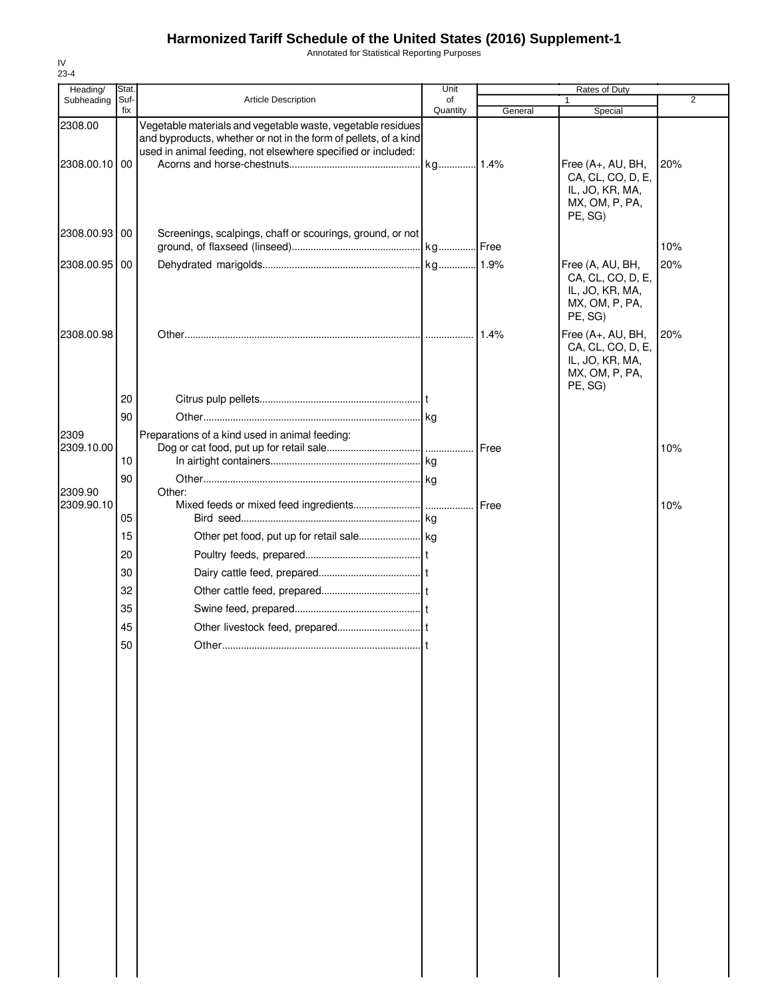Annotated for Statistical Reporting Purposes

| Heading/      | Stat.       |                                                                                                                                                                                                 | Unit           |         | <b>Rates of Duty</b>                                                                   |                |
|---------------|-------------|-------------------------------------------------------------------------------------------------------------------------------------------------------------------------------------------------|----------------|---------|----------------------------------------------------------------------------------------|----------------|
| Subheading    | Suf-<br>fix | <b>Article Description</b>                                                                                                                                                                      | of<br>Quantity | General | 1<br>Special                                                                           | $\overline{2}$ |
| 2308.00       |             | Vegetable materials and vegetable waste, vegetable residues<br>and byproducts, whether or not in the form of pellets, of a kind<br>used in animal feeding, not elsewhere specified or included: |                |         |                                                                                        |                |
| 2308.00.10 00 |             |                                                                                                                                                                                                 |                |         | Free (A+, AU, BH,<br>CA, CL, CO, D, E,<br>IL, JO, KR, MA,<br>MX, OM, P, PA,<br>PE, SG) | 20%            |
| 2308.00.93    | 00          | Screenings, scalpings, chaff or scourings, ground, or not                                                                                                                                       |                |         |                                                                                        | 10%            |
| 2308.00.95    | 00          |                                                                                                                                                                                                 |                |         | Free (A, AU, BH,<br>CA, CL, CO, D, E,<br>IL, JO, KR, MA,<br>MX, OM, P, PA,<br>PE, SG)  | 20%            |
| 2308.00.98    |             |                                                                                                                                                                                                 |                |         | Free (A+, AU, BH,<br>CA, CL, CO, D, E,<br>IL, JO, KR, MA,<br>MX, OM, P, PA,<br>PE, SG) | 20%            |
|               | 20<br>90    |                                                                                                                                                                                                 |                |         |                                                                                        |                |
| 2309          |             | Preparations of a kind used in animal feeding:                                                                                                                                                  |                |         |                                                                                        |                |
| 2309.10.00    | 10          |                                                                                                                                                                                                 |                |         |                                                                                        | 10%            |
| 2309.90       | 90          | Other:                                                                                                                                                                                          |                |         |                                                                                        |                |
| 2309.90.10    |             |                                                                                                                                                                                                 |                | Free    |                                                                                        | 10%            |
|               | 05<br>15    |                                                                                                                                                                                                 |                |         |                                                                                        |                |
|               | 20          |                                                                                                                                                                                                 |                |         |                                                                                        |                |
|               | 30          |                                                                                                                                                                                                 |                |         |                                                                                        |                |
|               | 32          |                                                                                                                                                                                                 |                |         |                                                                                        |                |
|               | 35          |                                                                                                                                                                                                 |                |         |                                                                                        |                |
|               | 45          |                                                                                                                                                                                                 |                |         |                                                                                        |                |
|               | 50          | Other                                                                                                                                                                                           |                |         |                                                                                        |                |
|               |             |                                                                                                                                                                                                 |                |         |                                                                                        |                |
|               |             |                                                                                                                                                                                                 |                |         |                                                                                        |                |
|               |             |                                                                                                                                                                                                 |                |         |                                                                                        |                |
|               |             |                                                                                                                                                                                                 |                |         |                                                                                        |                |
|               |             |                                                                                                                                                                                                 |                |         |                                                                                        |                |
|               |             |                                                                                                                                                                                                 |                |         |                                                                                        |                |
|               |             |                                                                                                                                                                                                 |                |         |                                                                                        |                |
|               |             |                                                                                                                                                                                                 |                |         |                                                                                        |                |
|               |             |                                                                                                                                                                                                 |                |         |                                                                                        |                |
|               |             |                                                                                                                                                                                                 |                |         |                                                                                        |                |
|               |             |                                                                                                                                                                                                 |                |         |                                                                                        |                |
|               |             |                                                                                                                                                                                                 |                |         |                                                                                        |                |
|               |             |                                                                                                                                                                                                 |                |         |                                                                                        |                |
|               |             |                                                                                                                                                                                                 |                |         |                                                                                        |                |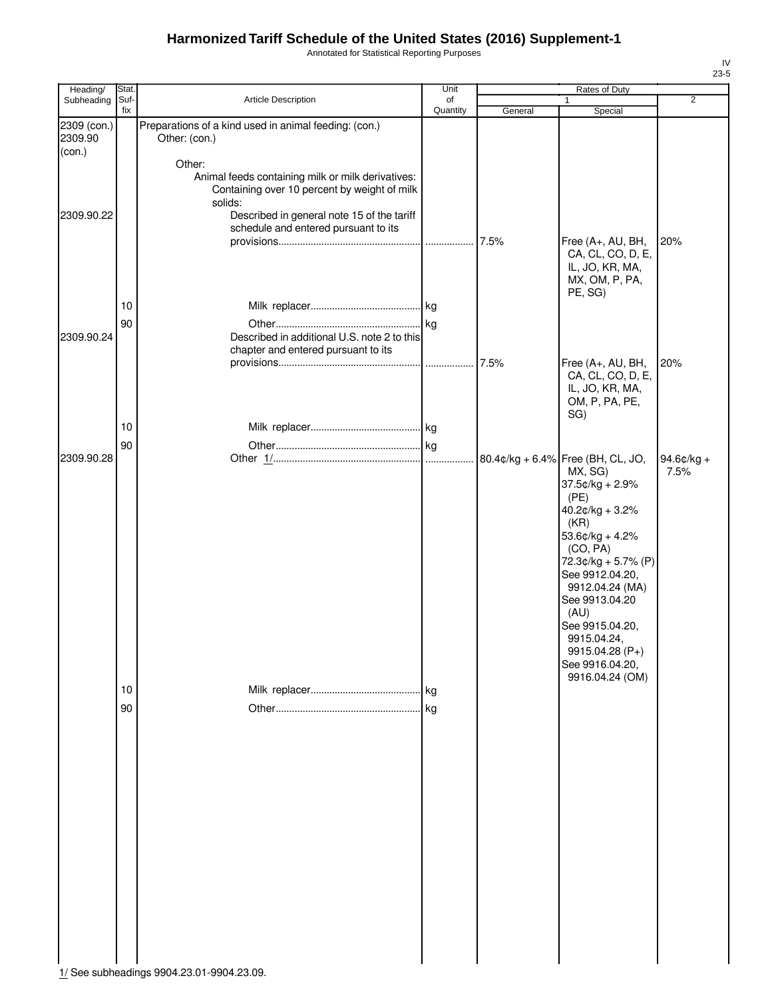Annotated for Statistical Reporting Purposes

| Heading/                                       | Stat.       |                                                                                                                                                                                                                                                | Unit            |         | Rates of Duty                                                                                                                                                                                                                                                                          |                |
|------------------------------------------------|-------------|------------------------------------------------------------------------------------------------------------------------------------------------------------------------------------------------------------------------------------------------|-----------------|---------|----------------------------------------------------------------------------------------------------------------------------------------------------------------------------------------------------------------------------------------------------------------------------------------|----------------|
| Subheading                                     | Suf-<br>fix | Article Description                                                                                                                                                                                                                            | of<br>Quantity  | General | $\mathbf{1}$<br>Special                                                                                                                                                                                                                                                                | $\overline{2}$ |
| 2309 (con.)<br>2309.90<br>(con.)<br>2309.90.22 |             | Preparations of a kind used in animal feeding: (con.)<br>Other: (con.)<br>Other:<br>Animal feeds containing milk or milk derivatives:<br>Containing over 10 percent by weight of milk<br>solids:<br>Described in general note 15 of the tariff |                 |         |                                                                                                                                                                                                                                                                                        |                |
| 2309.90.24                                     | 10<br>90    | schedule and entered pursuant to its<br>Described in additional U.S. note 2 to this                                                                                                                                                            |                 | 7.5%    | Free (A+, AU, BH,<br>CA, CL, CO, D, E,<br>IL, JO, KR, MA,<br>MX, OM, P, PA,<br>PE, SG)                                                                                                                                                                                                 | 20%            |
|                                                | 10          | chapter and entered pursuant to its                                                                                                                                                                                                            | .               | 7.5%    | Free (A+, AU, BH,<br>CA, CL, CO, D, E,<br>IL, JO, KR, MA,<br>OM, P, PA, PE,<br>SG)                                                                                                                                                                                                     | 20%            |
|                                                |             |                                                                                                                                                                                                                                                |                 |         |                                                                                                                                                                                                                                                                                        |                |
| 2309.90.28                                     | 90          |                                                                                                                                                                                                                                                | $\log$          |         | 80.4¢/kg + 6.4% Free (BH, CL, JO,                                                                                                                                                                                                                                                      | $94.6$ ¢/kg +  |
|                                                | 10<br>90    |                                                                                                                                                                                                                                                | <b>kg</b><br>kg |         | MX, SG)<br>$37.5¢/kg + 2.9%$<br>(PE)<br>$40.2¢/kg + 3.2%$<br>(KR)<br>$53.6$ ¢/kg + 4.2%<br>(CO, PA)<br>72.3¢/kg + 5.7% (P)<br>See 9912.04.20,<br>9912.04.24 (MA)<br>See 9913.04.20<br>(AU)<br>See 9915.04.20,<br>9915.04.24,<br>$9915.04.28(P+)$<br>See 9916.04.20,<br>9916.04.24 (OM) | 7.5%           |

IV 23-5

1/ See subheadings 9904.23.01-9904.23.09.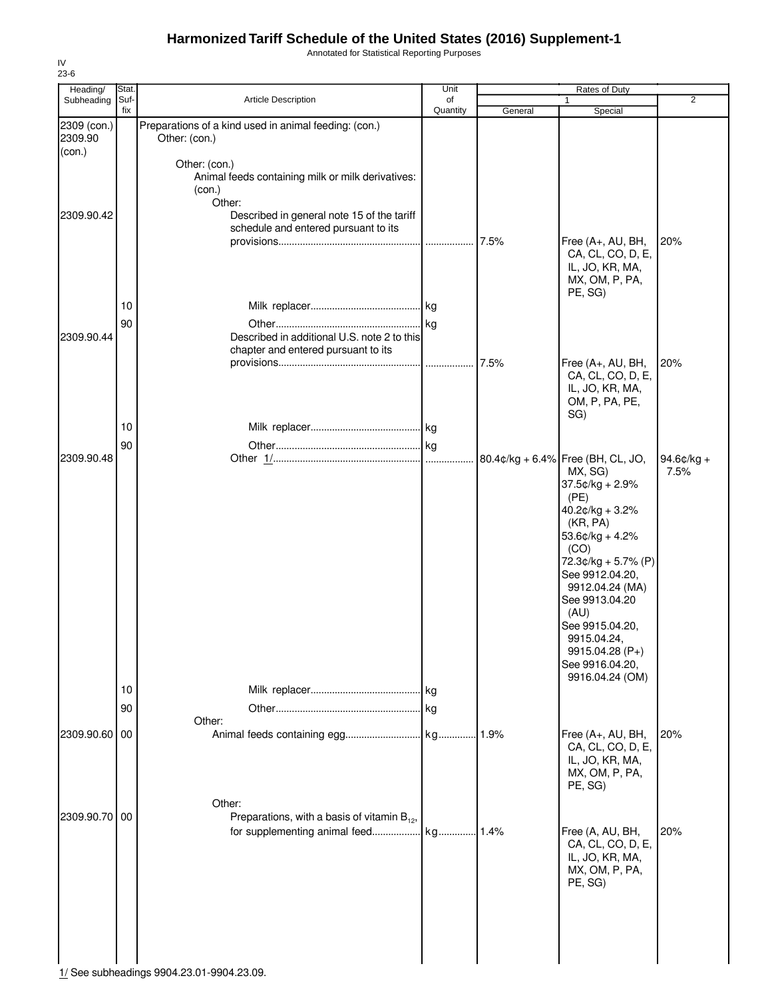Annotated for Statistical Reporting Purposes

| Heading/               | Stat.          |                                                                                                                                      | Unit           |         | Rates of Duty                                                                                                                                                                                                                                                                                                         |                        |
|------------------------|----------------|--------------------------------------------------------------------------------------------------------------------------------------|----------------|---------|-----------------------------------------------------------------------------------------------------------------------------------------------------------------------------------------------------------------------------------------------------------------------------------------------------------------------|------------------------|
| Subheading             | Suf-<br>fix    | Article Description                                                                                                                  | of<br>Quantity | General | Special                                                                                                                                                                                                                                                                                                               | 2                      |
| 2309 (con.)<br>2309.90 |                | Preparations of a kind used in animal feeding: (con.)<br>Other: (con.)                                                               |                |         |                                                                                                                                                                                                                                                                                                                       |                        |
| (con.)<br>2309.90.42   |                | Other: (con.)<br>Animal feeds containing milk or milk derivatives:<br>(con.)<br>Other:<br>Described in general note 15 of the tariff |                |         |                                                                                                                                                                                                                                                                                                                       |                        |
|                        | 10             | schedule and entered pursuant to its                                                                                                 |                | 7.5%    | Free (A+, AU, BH,<br>CA, CL, CO, D, E,<br>IL, JO, KR, MA,<br>MX, OM, P, PA,<br>PE, SG)                                                                                                                                                                                                                                | 20%                    |
| 2309.90.44             | 90             | Described in additional U.S. note 2 to this<br>chapter and entered pursuant to its                                                   |                | 7.5%    |                                                                                                                                                                                                                                                                                                                       | 20%                    |
|                        |                |                                                                                                                                      |                |         | Free (A+, AU, BH,<br>CA, CL, CO, D, E,<br>IL, JO, KR, MA,<br>OM, P, PA, PE,<br>SG)                                                                                                                                                                                                                                    |                        |
|                        | 10             |                                                                                                                                      |                |         |                                                                                                                                                                                                                                                                                                                       |                        |
| 2309.90.48             | 90<br>10<br>90 |                                                                                                                                      | .lkg<br>kg     |         | 80.4¢/kg + 6.4% Free (BH, CL, JO,<br>MX, SG)<br>$37.5¢/kg + 2.9%$<br>(PE)<br>40.2¢/kg + 3.2%<br>(KR, PA)<br>53.6¢/kg + 4.2%<br>(CO)<br>72.3¢/kg + 5.7% (P)<br>See 9912.04.20,<br>9912.04.24 (MA)<br>See 9913.04.20<br>(AU)<br>See 9915.04.20,<br>9915.04.24,<br>9915.04.28 (P+)<br>See 9916.04.20,<br>9916.04.24 (OM) | 94.6 $c$ /kg +<br>7.5% |
| 2309.90.60 00          |                | Other:<br>Other:                                                                                                                     |                | 1.9%    | Free (A+, AU, BH,<br>CA, CL, CO, D, E,<br>IL, JO, KR, MA,<br>MX, OM, P, PA,<br>PE, SG)                                                                                                                                                                                                                                | 20%                    |
| 2309.90.70 00          |                | Preparations, with a basis of vitamin $B_{12}$ ,<br>for supplementing animal feed                                                    | kg 1.4%        |         | Free (A, AU, BH,<br>CA, CL, CO, D, E,<br>IL, JO, KR, MA,<br>MX, OM, P, PA,<br>PE, SG)                                                                                                                                                                                                                                 | 20%                    |

IV 23-6

1/ See subheadings 9904.23.01-9904.23.09.